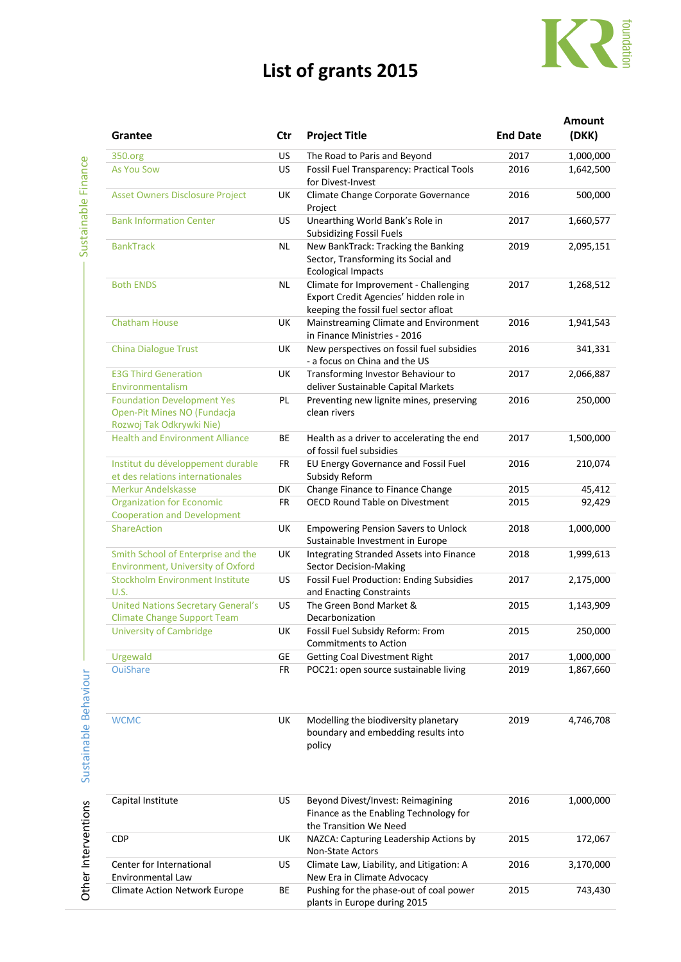## **List of grants 2015**



|                                                                                              |           |                                                                                                                                                                   |                 | Amount    |
|----------------------------------------------------------------------------------------------|-----------|-------------------------------------------------------------------------------------------------------------------------------------------------------------------|-----------------|-----------|
| Grantee                                                                                      | Ctr       | <b>Project Title</b>                                                                                                                                              | <b>End Date</b> | (DKK)     |
| 350.org                                                                                      | <b>US</b> | The Road to Paris and Beyond                                                                                                                                      | 2017            | 1,000,000 |
| <b>As You Sow</b>                                                                            | <b>US</b> | Fossil Fuel Transparency: Practical Tools                                                                                                                         | 2016            | 1,642,500 |
|                                                                                              |           | for Divest-Invest                                                                                                                                                 |                 |           |
| <b>Asset Owners Disclosure Project</b>                                                       | UK        | Climate Change Corporate Governance<br>Project                                                                                                                    | 2016            | 500,000   |
| <b>Bank Information Center</b>                                                               | US.       | Unearthing World Bank's Role in<br><b>Subsidizing Fossil Fuels</b>                                                                                                | 2017            | 1,660,577 |
| <b>BankTrack</b>                                                                             | <b>NL</b> | New BankTrack: Tracking the Banking                                                                                                                               | 2019            | 2,095,151 |
|                                                                                              |           | Sector, Transforming its Social and<br><b>Ecological Impacts</b>                                                                                                  |                 |           |
| <b>Both ENDS</b>                                                                             | <b>NL</b> | Climate for Improvement - Challenging<br>Export Credit Agencies' hidden role in                                                                                   | 2017            | 1,268,512 |
|                                                                                              |           | keeping the fossil fuel sector afloat                                                                                                                             |                 |           |
| <b>Chatham House</b>                                                                         | UK        | Mainstreaming Climate and Environment<br>in Finance Ministries - 2016                                                                                             | 2016            | 1,941,543 |
| <b>China Dialogue Trust</b>                                                                  | UK        | New perspectives on fossil fuel subsidies<br>- a focus on China and the US                                                                                        | 2016            | 341,331   |
| <b>E3G Third Generation</b>                                                                  | UK        | Transforming Investor Behaviour to                                                                                                                                | 2017            | 2,066,887 |
| Environmentalism                                                                             |           | deliver Sustainable Capital Markets<br>Preventing new lignite mines, preserving                                                                                   |                 |           |
| <b>Foundation Development Yes</b><br>Open-Pit Mines NO (Fundacja<br>Rozwoj Tak Odkrywki Nie) | PL        | clean rivers                                                                                                                                                      | 2016            | 250,000   |
| <b>Health and Environment Alliance</b>                                                       | BE        | Health as a driver to accelerating the end                                                                                                                        | 2017            | 1,500,000 |
|                                                                                              |           | of fossil fuel subsidies                                                                                                                                          |                 |           |
| Institut du développement durable<br>et des relations internationales                        | <b>FR</b> | EU Energy Governance and Fossil Fuel<br>Subsidy Reform                                                                                                            | 2016            | 210,074   |
| <b>Merkur Andelskasse</b>                                                                    | DK        | Change Finance to Finance Change                                                                                                                                  | 2015            | 45,412    |
| <b>Organization for Economic</b>                                                             | FR        | <b>OECD Round Table on Divestment</b>                                                                                                                             | 2015            | 92,429    |
| <b>Cooperation and Development</b><br><b>ShareAction</b>                                     | UK        | <b>Empowering Pension Savers to Unlock</b>                                                                                                                        | 2018            | 1,000,000 |
|                                                                                              |           | Sustainable Investment in Europe                                                                                                                                  |                 |           |
| Smith School of Enterprise and the<br><b>Environment, University of Oxford</b>               | UK        | Integrating Stranded Assets into Finance<br>Sector Decision-Making                                                                                                | 2018            | 1,999,613 |
| <b>Stockholm Environment Institute</b>                                                       | US        | Fossil Fuel Production: Ending Subsidies                                                                                                                          | 2017            | 2,175,000 |
| U.S.                                                                                         |           | and Enacting Constraints                                                                                                                                          |                 |           |
| <b>United Nations Secretary General's</b><br><b>Climate Change Support Team</b>              | <b>US</b> | The Green Bond Market &<br>Decarbonization                                                                                                                        | 2015            | 1,143,909 |
| <b>University of Cambridge</b>                                                               | UK.       | Fossil Fuel Subsidy Reform: From                                                                                                                                  | 2015            | 250,000   |
| Urgewald                                                                                     | GE        | Commitments to Action<br><b>Getting Coal Divestment Right</b>                                                                                                     | 2017            | 1,000,000 |
| <b>OuiShare</b>                                                                              | <b>FR</b> | POC21: open source sustainable living                                                                                                                             | 2019            | 1,867,660 |
|                                                                                              |           |                                                                                                                                                                   |                 |           |
|                                                                                              |           | boundary and embedding results into<br>policy                                                                                                                     |                 |           |
| Capital Institute                                                                            | US.       | Beyond Divest/Invest: Reimagining<br>Finance as the Enabling Technology for                                                                                       | 2016            | 1,000,000 |
|                                                                                              |           | the Transition We Need                                                                                                                                            |                 |           |
|                                                                                              |           |                                                                                                                                                                   |                 | 172,067   |
| Center for International                                                                     | US.       | Climate Law, Liability, and Litigation: A                                                                                                                         | 2016            | 3,170,000 |
| <b>Climate Action Network Europe</b>                                                         | BE        | Pushing for the phase-out of coal power                                                                                                                           | 2015            | 743,430   |
| <b>WCMC</b><br><b>CDP</b><br>Environmental Law                                               | UK<br>UK  | Modelling the biodiversity planetary<br>NAZCA: Capturing Leadership Actions by<br>Non-State Actors<br>New Era in Climate Advocacy<br>plants in Europe during 2015 | 2019<br>2015    | 4,746,708 |